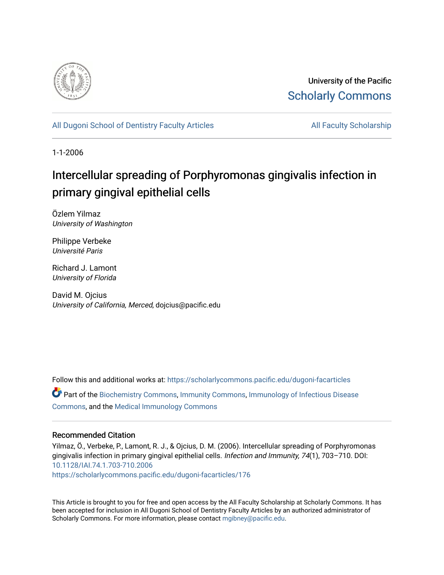

University of the Pacific [Scholarly Commons](https://scholarlycommons.pacific.edu/) 

## [All Dugoni School of Dentistry Faculty Articles](https://scholarlycommons.pacific.edu/dugoni-facarticles) All Faculty Scholarship

1-1-2006

# Intercellular spreading of Porphyromonas gingivalis infection in primary gingival epithelial cells

Özlem Yilmaz University of Washington

Philippe Verbeke Université Paris

Richard J. Lamont University of Florida

David M. Ojcius University of California, Merced, dojcius@pacific.edu

Follow this and additional works at: [https://scholarlycommons.pacific.edu/dugoni-facarticles](https://scholarlycommons.pacific.edu/dugoni-facarticles?utm_source=scholarlycommons.pacific.edu%2Fdugoni-facarticles%2F176&utm_medium=PDF&utm_campaign=PDFCoverPages)  Part of the [Biochemistry Commons](http://network.bepress.com/hgg/discipline/2?utm_source=scholarlycommons.pacific.edu%2Fdugoni-facarticles%2F176&utm_medium=PDF&utm_campaign=PDFCoverPages), [Immunity Commons,](http://network.bepress.com/hgg/discipline/34?utm_source=scholarlycommons.pacific.edu%2Fdugoni-facarticles%2F176&utm_medium=PDF&utm_campaign=PDFCoverPages) [Immunology of Infectious Disease](http://network.bepress.com/hgg/discipline/35?utm_source=scholarlycommons.pacific.edu%2Fdugoni-facarticles%2F176&utm_medium=PDF&utm_campaign=PDFCoverPages)  [Commons](http://network.bepress.com/hgg/discipline/35?utm_source=scholarlycommons.pacific.edu%2Fdugoni-facarticles%2F176&utm_medium=PDF&utm_campaign=PDFCoverPages), and the [Medical Immunology Commons](http://network.bepress.com/hgg/discipline/671?utm_source=scholarlycommons.pacific.edu%2Fdugoni-facarticles%2F176&utm_medium=PDF&utm_campaign=PDFCoverPages) 

### Recommended Citation

Yilmaz, Ö., Verbeke, P., Lamont, R. J., & Ojcius, D. M. (2006). Intercellular spreading of Porphyromonas gingivalis infection in primary gingival epithelial cells. Infection and Immunity, 74(1), 703–710. DOI: [10.1128/IAI.74.1.703-710.2006](http://dx.doi.org/10.1128/IAI.74.1.703-710.2006)  [https://scholarlycommons.pacific.edu/dugoni-facarticles/176](https://scholarlycommons.pacific.edu/dugoni-facarticles/176?utm_source=scholarlycommons.pacific.edu%2Fdugoni-facarticles%2F176&utm_medium=PDF&utm_campaign=PDFCoverPages) 

This Article is brought to you for free and open access by the All Faculty Scholarship at Scholarly Commons. It has been accepted for inclusion in All Dugoni School of Dentistry Faculty Articles by an authorized administrator of Scholarly Commons. For more information, please contact [mgibney@pacific.edu.](mailto:mgibney@pacific.edu)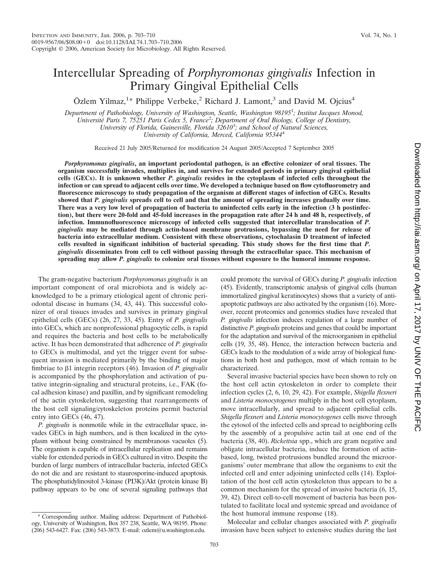# Intercellular Spreading of *Porphyromonas gingivalis* Infection in Primary Gingival Epithelial Cells

Özlem Yilmaz,<sup>1\*</sup> Philippe Verbeke,<sup>2</sup> Richard J. Lamont,<sup>3</sup> and David M. Ojcius<sup>4</sup>

*Department of Pathobiology, University of Washington, Seattle, Washington 98195*<sup>1</sup> *; Institut Jacques Monod, Universite´ Paris 7, 75251 Paris Cedex 5, France*<sup>2</sup> *; Department of Oral Biology, College of Dentistry, University of Florida, Gainesville, Florida 32610*<sup>3</sup> *; and School of Natural Sciences, University of California, Merced, California 95344*<sup>4</sup>

Received 21 July 2005/Returned for modification 24 August 2005/Accepted 7 September 2005

*Porphyromonas gingivalis***, an important periodontal pathogen, is an effective colonizer of oral tissues. The organism successfully invades, multiplies in, and survives for extended periods in primary gingival epithelial cells (GECs). It is unknown whether** *P. gingivalis* **resides in the cytoplasm of infected cells throughout the infection or can spread to adjacent cells over time. We developed a technique based on flow cytofluorometry and fluorescence microscopy to study propagation of the organism at different stages of infection of GECs. Results showed that** *P. gingivalis* **spreads cell to cell and that the amount of spreading increases gradually over time. There was a very low level of propagation of bacteria to uninfected cells early in the infection (3 h postinfection), but there were 20-fold and 45-fold increases in the propagation rate after 24 h and 48 h, respectively, of infection. Immunofluorescence microscopy of infected cells suggested that intercellular translocation of** *P. gingivalis* **may be mediated through actin-based membrane protrusions, bypassing the need for release of bacteria into extracellular medium. Consistent with these observations, cytochalasin D treatment of infected cells resulted in significant inhibition of bacterial spreading. This study shows for the first time that** *P. gingivalis* **disseminates from cell to cell without passing through the extracellular space. This mechanism of spreading may allow** *P. gingivalis* **to colonize oral tissues without exposure to the humoral immune response.**

The gram-negative bacterium *Porphyromonas gingivalis* is an important component of oral microbiota and is widely acknowledged to be a primary etiological agent of chronic periodontal disease in humans (34, 43, 44). This successful colonizer of oral tissues invades and survives in primary gingival epithelial cells (GECs) (26, 27, 33, 45). Entry of *P. gingivalis* into GECs, which are nonprofessional phagocytic cells, is rapid and requires the bacteria and host cells to be metabolically active. It has been demonstrated that adherence of *P. gingivalis* to GECs is multimodal, and yet the trigger event for subsequent invasion is mediated primarily by the binding of major fimbriae to  $\beta$ 1 integrin receptors (46). Invasion of *P. gingivalis* is accompanied by the phosphorylation and activation of putative integrin-signaling and structural proteins, i.e., FAK (focal adhesion kinase) and paxillin, and by significant remodeling of the actin cytoskeleton, suggesting that rearrangements of the host cell signaling/cytoskeleton proteins permit bacterial entry into GECs (46, 47).

*P. gingivalis* is nonmotile while in the extracellular space, invades GECs in high numbers, and is then localized in the cytoplasm without being constrained by membranous vacuoles (5). The organism is capable of intracellular replication and remains viable for extended periods in GECs cultured in vitro. Despite the burden of large numbers of intracellular bacteria, infected GECs do not die and are resistant to staurosporine-induced apoptosis. The phosphatidylinositol 3-kinase (PI3K)/Akt (protein kinase B) pathway appears to be one of several signaling pathways that

\* Corresponding author. Mailing address: Department of Pathobiology, University of Washington, Box 357 238, Seattle, WA 98195. Phone: (206) 543-6427. Fax: (206) 543-3873. E-mail: ozlem@u.washington.edu.

could promote the survival of GECs during *P. gingivalis* infection (45). Evidently, transcriptomic analysis of gingival cells (human immortalized gingival keratinocytes) shows that a variety of antiapoptotic pathways are also activated by the organism (16). Moreover, recent proteomics and genomics studies have revealed that *P. gingivalis* infection induces regulation of a large number of distinctive *P. gingivalis* proteins and genes that could be important for the adaptation and survival of the microorganism in epithelial cells (19, 35, 48). Hence, the interaction between bacteria and GECs leads to the modulation of a wide array of biological functions in both host and pathogen, most of which remain to be characterized.

Several invasive bacterial species have been shown to rely on the host cell actin cytoskeleton in order to complete their infection cycles (2, 6, 10, 29, 42). For example, *Shigella flexneri* and *Listeria monocytogenes* multiply in the host cell cytoplasm, move intracellularly, and spread to adjacent epithelial cells. *Shigella flexneri* and *Listeria monocytogenes* cells move through the cytosol of the infected cells and spread to neighboring cells by the assembly of a propulsive actin tail at one end of the bacteria (38, 40). *Rickettsia* spp., which are gram negative and obligate intracellular bacteria, induce the formation of actinbased, long, twisted protrusions bundled around the microorganisms' outer membrane that allow the organisms to exit the infected cell and enter adjoining uninfected cells (14). Exploitation of the host cell actin cytoskeleton thus appears to be a common mechanism for the spread of invasive bacteria (6, 15, 39, 42). Direct cell-to-cell movement of bacteria has been postulated to facilitate local and systemic spread and avoidance of the host humoral immune response (18).

Molecular and cellular changes associated with *P. gingivalis* invasion have been subject to extensive studies during the last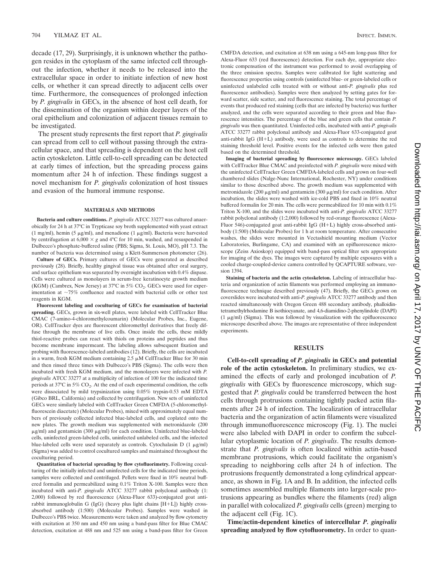decade (17, 29). Surprisingly, it is unknown whether the pathogen resides in the cytoplasm of the same infected cell throughout the infection, whether it needs to be released into the extracellular space in order to initiate infection of new host cells, or whether it can spread directly to adjacent cells over time. Furthermore, the consequences of prolonged infection by *P. gingivalis* in GECs, in the absence of host cell death, for the dissemination of the organism within deeper layers of the oral epithelium and colonization of adjacent tissues remain to be investigated.

The present study represents the first report that *P. gingivalis* can spread from cell to cell without passing through the extracellular space, and that spreading is dependent on the host cell actin cytoskeleton. Little cell-to-cell spreading can be detected at early times of infection, but the spreading process gains momentum after 24 h of infection. These findings suggest a novel mechanism for *P. gingivalis* colonization of host tissues and evasion of the humoral immune response.

#### **MATERIALS AND METHODS**

**Bacteria and culture conditions.** *P. gingivalis* ATCC 33277 was cultured anaerobically for 24 h at 37°C in Trypticase soy broth supplemented with yeast extract (1 mg/ml), hemin (5  $\mu$ g/ml), and menadione (1  $\mu$ g/ml). Bacteria were harvested by centrifugation at  $6,000 \times g$  and 4°C for 10 min, washed, and resuspended in Dulbecco's phosphate-buffered saline (PBS; Sigma, St. Louis, MO), pH 7.3. The number of bacteria was determined using a Klett-Summerson photometer (26).

**Culture of GECs.** Primary cultures of GECs were generated as described previously (28). Briefly, healthy gingival tissue was obtained after oral surgery, and surface epithelium was separated by overnight incubation with 0.4% dispase. Cells were cultured as monolayers in serum-free keratinocyte growth medium (KGM) (Cambrex, New Jersey) at  $37^{\circ}$ C in  $5\%$  CO<sub>2</sub>. GECs were used for experimentation at  $\sim$ 75% confluence and reacted with bacterial cells or other test reagents in KGM.

**Fluorescent labeling and coculturing of GECs for examination of bacterial spreading.** GECs, grown in six-well plates, were labeled with CellTracker Blue CMAC (7-amino-4-chloromethylcoumarin) (Molecular Probes, Inc., Eugene, OR). CellTracker dyes are fluorescent chloromethyl derivatives that freely diffuse through the membrane of live cells. Once inside the cells, these mildly thiol-reactive probes can react with thiols on proteins and peptides and thus become membrane impermeant. The labeling allows subsequent fixation and probing with fluorescence-labeled antibodies (12). Briefly, the cells are incubated in a warm, fresh KGM medium containing  $2.5 \mu$ M CellTracker Blue for 30 min and then rinsed three times with Dulbecco's PBS (Sigma). The cells were then incubated with fresh KGM medium, and the monolayers were infected with *P. gingivalis* ATCC 33277 at a multiplicity of infection of 100 for the indicated time periods at  $37^{\circ}$ C in  $5\%$  CO<sub>2</sub>. At the end of each experimental condition, the cells were dissociated by mild trypsinization using 0.05% trypsin-0.53 mM EDTA (Gibco BRL, California) and collected by centrifugation. New sets of uninfected GECs were similarly labeled with CellTracker Green CMFDA (5-chloromethylfluorescein diacetate) (Molecular Probes), mixed with approximately equal numbers of previously collected infected blue-labeled cells, and coplated onto the new plates. The growth medium was supplemented with metronidazole (200  $\mu$ g/ml) and gentamicin (300  $\mu$ g/ml) for each condition. Uninfected blue-labeled cells, uninfected green-labeled cells, uninfected unlabeled cells, and the infected blue-labeled cells were used separately as controls. Cytochalasin D  $(1 \mu g/ml)$ (Sigma) was added to control cocultured samples and maintained throughout the coculturing period.

**Quantitation of bacterial spreading by flow cytofluorimetry.** Following coculturing of the initially infected and uninfected cells for the indicated time periods, samples were collected and centrifuged. Pellets were fixed in 10% neutral buffered formalin and permeabilized using 0.1% Triton X-100. Samples were then incubated with anti-*P. gingivalis* ATCC 33277 rabbit polyclonal antibody (1: 2,000) followed by red fluorescence (Alexa-Fluor 633)-conjugated goat antirabbit immunoglobulin G (IgG) (heavy plus light chains  $[H+L]$ ) highly crossabsorbed antibody (1:500) (Molecular Probes). Samples were washed in Dulbecco's PBS twice. Measurements were taken and analyzed by flow cytometry with excitation at 350 nm and 450 nm using a band-pass filter for Blue CMAC detection, excitation at 488 nm and 525 nm using a band-pass filter for Green CMFDA detection, and excitation at 638 nm using a 645-nm long-pass filter for Alexa-Fluor 633 (red fluorescence) detection. For each dye, appropriate electronic compensation of the instrument was performed to avoid overlapping of the three emission spectra. Samples were calibrated for light scattering and fluorescence properties using controls (uninfected blue- or green-labeled cells or uninfected unlabeled cells treated with or without anti-*P. gingivalis* plus red fluorescence antibodies). Samples were then analyzed by setting gates for forward scatter, side scatter, and red fluorescence staining. The total percentage of events that produced red staining (cells that are infected by bacteria) was further analyzed, and the cells were separated according to their green and blue fluorescence intensities. The percentage of the blue and green cells that contain *P. gingivalis* was then quantitated. Uninfected cells, incubated with anti-*P. gingivalis* ATCC 33277 rabbit polyclonal antibody and Alexa-Fluor 633-conjugated goat anti-rabbit IgG  $(H+L)$  antibody, were used as controls to determine the red staining threshold level. Positive events for the infected cells were then gated based on the determined threshold.

**Imaging of bacterial spreading by fluorescence microscopy.** GECs labeled with CellTracker Blue CMAC and preinfected with *P. gingivalis* were mixed with the uninfected CellTracker Green CMFDA-labeled cells and grown on four-well chambered slides (Nalge-Nunc International, Rochester, NY) under conditions similar to those described above. The growth medium was supplemented with metronidazole (200  $\mu$ g/ml) and gentamicin (300  $\mu$ g/ml) for each condition. After incubation, the slides were washed with ice-cold PBS and fixed in 10% neutral buffered formalin for 20 min. The cells were permeabilized for 10 min with 0.1% Triton X-100, and the slides were incubated with anti-*P. gingivalis* ATCC 33277 rabbit polyclonal antibody (1:2,000) followed by red-orange fluorescence (Alexa-Fluor 546)-conjugated goat anti-rabbit IgG  $(H+L)$  highly cross-absorbed antibody (1:500) (Molecular Probes) for 1 h at room temperature. After consecutive washes, the slides were mounted in Vectashield mounting medium (Vector Laboratories, Burlingame, CA) and examined with an epifluorescence microscope (Zeiss Axioskop) equipped with band-pass optical filter sets appropriate for imaging of the dyes. The images were captured by multiple exposures with a cooled charge-coupled-device camera controlled by QCAPTURE software, version 1394.

**Staining of bacteria and the actin cytoskeleton.** Labeling of intracellular bacteria and organization of actin filaments was performed employing an immunofluorescence technique described previously (47). Briefly, the GECs grown on coverslides were incubated with anti-*P. gingivalis* ATCC 33277 antibody and then reacted simultaneously with Oregon Green 488 secondary antibody, phalloidintetramethylrhodamine B isothiocyanate, and 4,6-diamidino-2-phenylindole (DAPI)  $(1 \mu g/ml)$  (Sigma). This was followed by visualization with the epifluorescence microscope described above. The images are representative of three independent experiments.

#### **RESULTS**

**Cell-to-cell spreading of** *P. gingivalis* **in GECs and potential role of the actin cytoskeleton.** In preliminary studies, we examined the effects of early and prolonged incubation of *P. gingivalis* with GECs by fluorescence microscopy, which suggested that *P. gingivalis* could be transferred between the host cells through protrusions containing tightly packed actin filaments after 24 h of infection. The localization of intracellular bacteria and the organization of actin filaments were visualized through immunofluorescence microscopy (Fig. 1). The nuclei were also labeled with DAPI in order to confirm the subcellular cytoplasmic location of *P. gingivalis*. The results demonstrate that *P. gingivalis* is often localized within actin-based membrane protrusions, which could facilitate the organism's spreading to neighboring cells after 24 h of infection. The protrusions frequently demonstrated a long cylindrical appearance, as shown in Fig. 1A and B. In addition, the infected cells sometimes assembled multiple filaments into larger-scale protrusions appearing as bundles where the filaments (red) align in parallel with colocalized *P. gingivalis* cells (green) merging to the adjacent cell (Fig. 1C).

**Time/actin-dependent kinetics of intercellular** *P. gingivalis* **spreading analyzed by flow cytofluorometry.** In order to quan-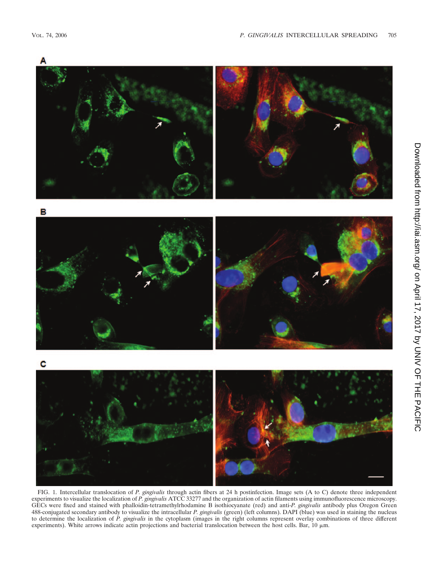

FIG. 1. Intercellular translocation of *P. gingivalis* through actin fibers at 24 h postinfection. Image sets (A to C) denote three independent experiments to visualize the localization of *P. gingivalis* ATCC 33277 and the organization of actin filaments using immunofluorescence microscopy. GECs were fixed and stained with phalloidin-tetramethylrhodamine B isothiocyanate (red) and anti-*P. gingivalis* antibody plus Oregon Green 488-conjugated secondary antibody to visualize the intracellular *P. gingivalis* (green) (left columns). DAPI (blue) was used in staining the nucleus to determine the localization of *P. gingivalis* in the cytoplasm (images in the right columns represent overlay combinations of three different experiments). White arrows indicate actin projections and bacterial translocation between the host cells. Bar,  $10 \mu m$ .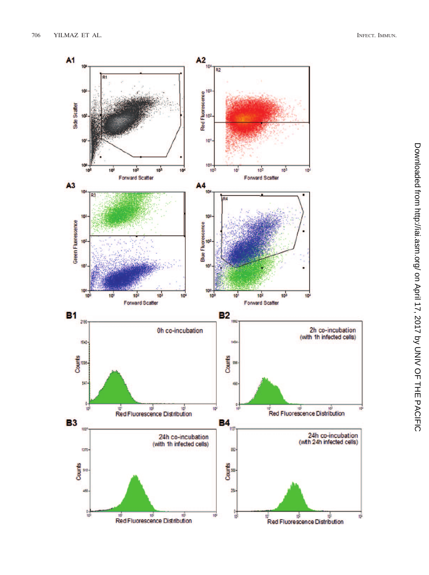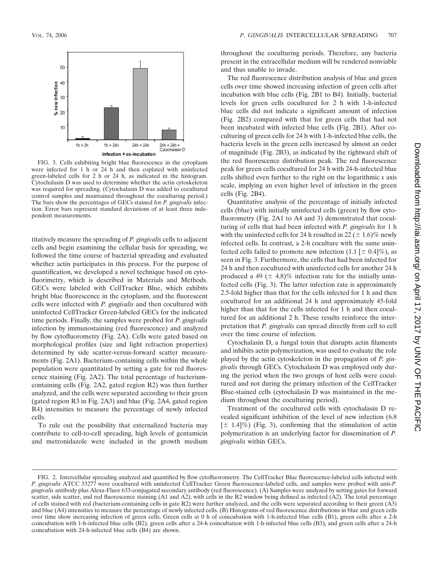

FIG. 3. Cells exhibiting bright blue fluorescence in the cytoplasm were infected for 1 h or 24 h and then coplated with uninfected green-labeled cells for 2 h or 24 h, as indicated in the histogram. Cytochalasin D was used to determine whether the actin cytoskeleton was required for spreading. (Cytochalasin D was added to cocultured control samples and maintained throughout the coculturing period.) The bars show the percentages of GECs stained for *P. gingivalis* infection. Error bars represent standard deviations of at least three independent measurements.

titatively measure the spreading of *P. gingivalis* cells to adjacent cells and begin examining the cellular basis for spreading, we followed the time course of bacterial spreading and evaluated whether actin participates in this process. For the purpose of quantification, we developed a novel technique based on cytofluorimetry, which is described in Materials and Methods. GECs were labeled with CellTracker Blue, which exhibits bright blue fluorescence in the cytoplasm, and the fluorescent cells were infected with *P. gingivalis* and then cocultured with uninfected CellTracker Green-labeled GECs for the indicated time periods. Finally, the samples were probed for *P. gingivalis* infection by immunostaining (red fluorescence) and analyzed by flow cytofluorometry (Fig. 2A). Cells were gated based on morphological profiles (size and light refraction properties) determined by side scatter-versus-forward scatter measurements (Fig. 2A1). Bacterium-containing cells within the whole population were quantitated by setting a gate for red fluorescence staining (Fig. 2A2). The total percentage of bacteriumcontaining cells (Fig. 2A2, gated region R2) was then further analyzed, and the cells were separated according to their green (gated region R3 in Fig. 2A3) and blue (Fig. 2A4, gated region R4) intensities to measure the percentage of newly infected cells.

To rule out the possibility that externalized bacteria may contribute to cell-to-cell spreading, high levels of gentamicin and metronidazole were included in the growth medium throughout the coculturing periods. Therefore, any bacteria present in the extracellular medium will be rendered nonviable and thus unable to invade.

The red fluorescence distribution analysis of blue and green cells over time showed increasing infection of green cells after incubation with blue cells (Fig. 2B1 to B4). Initially, bacterial levels for green cells cocultured for 2 h with 1-h-infected blue cells did not indicate a significant amount of infection (Fig. 2B2) compared with that for green cells that had not been incubated with infected blue cells (Fig. 2B1). After coculturing of green cells for 24 h with 1-h-infected blue cells, the bacteria levels in the green cells increased by almost an order of magnitude (Fig. 2B3), as indicated by the rightward shift of the red fluorescence distribution peak. The red fluorescence peak for green cells cocultured for 24 h with 24-h-infected blue cells shifted even further to the right on the logarithmic *x* axis scale, implying an even higher level of infection in the green cells (Fig. 2B4).

Quantitative analysis of the percentage of initially infected cells (blue) with initially uninfected cells (green) by flow cytofluorometry (Fig. 2A1 to A4 and 3) demonstrated that coculturing of cells that had been infected with *P. gingivalis* for 1 h with the uninfected cells for 24 h resulted in 22 ( $\pm$  1.6)% newly infected cells. In contrast, a 2-h coculture with the same uninfected cells failed to promote new infection  $(1.1$  [ $\pm$  0.4]%), as seen in Fig. 3. Furthermore, the cells that had been infected for 24 h and then cocultured with uninfected cells for another 24 h produced a 49 ( $\pm$  4.8)% infection rate for the initially uninfected cells (Fig. 3). The latter infection rate is approximately 2.5-fold higher than that for the cells infected for 1 h and then cocultured for an additional 24 h and approximately 45-fold higher than that for the cells infected for 1 h and then cocultured for an additional 2 h. These results reinforce the interpretation that *P. gingivalis* can spread directly from cell to cell over the time course of infection.

Cytochalasin D, a fungal toxin that disrupts actin filaments and inhibits actin polymerization, was used to evaluate the role played by the actin cytoskeleton in the propagation of *P. gingivalis* through GECs. Cytochalasin D was employed only during the period when the two groups of host cells were cocultured and not during the primary infection of the CellTracker Blue-stained cells (cytochalasin D was maintained in the medium throughout the coculturing period).

Treatment of the cocultured cells with cytochalasin D revealed significant inhibition of the level of new infection (6.8  $[\pm 1.4]\%$ ) (Fig. 3), confirming that the stimulation of actin polymerization is an underlying factor for dissemination of *P. gingivalis* within GECs.

FIG. 2. Intercellular spreading analyzed and quantified by flow cytofluorometry. The CellTracker Blue fluorescence-labeled cells infected with *P. gingivalis* ATCC 33277 were cocultured with uninfected CellTracker Green fluorescence-labeled cells, and samples were probed with anti-*P. gingivalis* antibody plus Alexa-Fluor 633-conjugated secondary antibody (red fluorescence). (A) Samples were analyzed by setting gates for forward scatter, side scatter, and red fluorescence staining (A1 and A2), with cells in the R2 window being defined as infected (A2). The total percentage of cells stained with red (bacterium-containing cells in gate R2) were further analyzed, and the cells were separated according to their green (A3) and blue (A4) intensities to measure the percentage of newly infected cells. (B) Histograms of red fluorescence distributions in blue and green cells over time show increasing infection of green cells. Green cells at 0 h of coincubation with 1-h-infected blue cells (B1), green cells after a 2-h coincubation with 1-h-infected blue cells (B2), green cells after a 24-h coincubation with 1-h-infected blue cells (B3), and green cells after a 24-h coincubation with 24-h-infected blue cells (B4) are shown.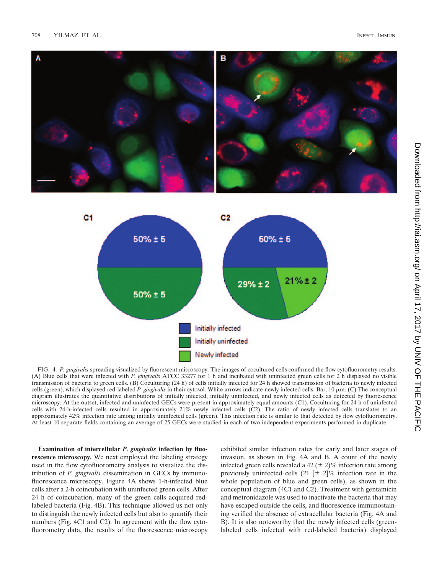



FIG. 4. *P. gingivalis* spreading visualized by fluorescent microscopy. The images of cocultured cells confirmed the flow cytofluorometry results. (A) Blue cells that were infected with *P. gingivalis* ATCC 33277 for 1 h and incubated with uninfected green cells for 2 h displayed no visible transmission of bacteria to green cells. (B) Coculturing (24 h) of cells initially infected for 24 h showed transmission of bacteria to newly infected cells (green), which displayed red-labeled *P. gingivalis* in their cytosol. White arrows indicate newly infected cells. Bar, 10 m. (C) The conceptual diagram illustrates the quantitative distributions of initially infected, initially uninfected, and newly infected cells as detected by fluorescence microscopy. At the outset, infected and uninfected GECs were present in approximately equal amounts (C1). Coculturing for 24 h of uninfected cells with 24-h-infected cells resulted in approximately 21% newly infected cells (C2). The ratio of newly infected cells translates to an approximately 42% infection rate among initially uninfected cells (green). This infection rate is similar to that detected by flow cytofluorometry. At least 10 separate fields containing an average of 25 GECs were studied in each of two independent experiments performed in duplicate.

**Examination of intercellular** *P. gingivalis* **infection by fluorescence microscopy.** We next employed the labeling strategy used in the flow cytofluorometry analysis to visualize the distribution of *P. gingivalis* dissemination in GECs by immunofluorescence microscopy. Figure 4A shows 1-h-infected blue cells after a 2-h coincubation with uninfected green cells. After 24 h of coincubation, many of the green cells acquired redlabeled bacteria (Fig. 4B). This technique allowed us not only to distinguish the newly infected cells but also to quantify their numbers (Fig. 4C1 and C2). In agreement with the flow cytofluorometry data, the results of the fluorescence microscopy

exhibited similar infection rates for early and later stages of invasion, as shown in Fig. 4A and B. A count of the newly infected green cells revealed a 42 ( $\pm$  2)% infection rate among previously uninfected cells  $(21 \leq 2]$ % infection rate in the whole population of blue and green cells), as shown in the conceptual diagram (4C1 and C2). Treatment with gentamicin and metronidazole was used to inactivate the bacteria that may have escaped outside the cells, and fluorescence immunostaining verified the absence of extracellular bacteria (Fig. 4A and B). It is also noteworthy that the newly infected cells (greenlabeled cells infected with red-labeled bacteria) displayed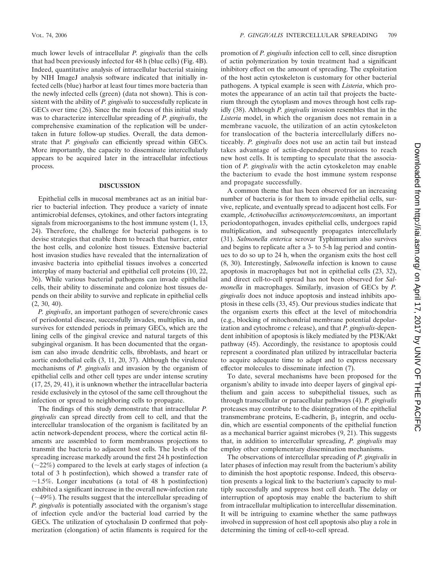much lower levels of intracellular *P. gingivalis* than the cells that had been previously infected for 48 h (blue cells) (Fig. 4B). Indeed, quantitative analysis of intracellular bacterial staining by NIH ImageJ analysis software indicated that initially infected cells (blue) harbor at least four times more bacteria than the newly infected cells (green) (data not shown). This is consistent with the ability of *P. gingivalis* to successfully replicate in GECs over time (26). Since the main focus of this initial study was to characterize intercellular spreading of *P. gingivalis*, the comprehensive examination of the replication will be undertaken in future follow-up studies. Overall, the data demonstrate that *P. gingivalis* can efficiently spread within GECs. More importantly, the capacity to disseminate intercellularly appears to be acquired later in the intracellular infectious process.

#### **DISCUSSION**

Epithelial cells in mucosal membranes act as an initial barrier to bacterial infection. They produce a variety of innate antimicrobial defenses, cytokines, and other factors integrating signals from microorganisms to the host immune system (1, 13, 24). Therefore, the challenge for bacterial pathogens is to devise strategies that enable them to breach that barrier, enter the host cells, and colonize host tissues. Extensive bacterial host invasion studies have revealed that the internalization of invasive bacteria into epithelial tissues involves a concerted interplay of many bacterial and epithelial cell proteins (10, 22, 36). While various bacterial pathogens can invade epithelial cells, their ability to disseminate and colonize host tissues depends on their ability to survive and replicate in epithelial cells (2, 30, 40).

*P. gingivalis*, an important pathogen of severe/chronic cases of periodontal disease, successfully invades, multiplies in, and survives for extended periods in primary GECs, which are the lining cells of the gingival crevice and natural targets of this subgingival organism. It has been documented that the organism can also invade dendritic cells, fibroblasts, and heart or aortic endothelial cells (3, 11, 20, 37). Although the virulence mechanisms of *P. gingivalis* and invasion by the organism of epithelial cells and other cell types are under intense scrutiny (17, 25, 29, 41), it is unknown whether the intracellular bacteria reside exclusively in the cytosol of the same cell throughout the infection or spread to neighboring cells to propagate.

The findings of this study demonstrate that intracellular *P. gingivalis* can spread directly from cell to cell, and that the intercellular translocation of the organism is facilitated by an actin network-dependent process, where the cortical actin filaments are assembled to form membranous projections to transmit the bacteria to adjacent host cells. The levels of the spreading increase markedly around the first 24 h postinfection  $(\sim 22\%)$  compared to the levels at early stages of infection (a total of 3 h postinfection), which showed a transfer rate of  $\sim$ 1.5%. Longer incubations (a total of 48 h postinfection) exhibited a significant increase in the overall new-infection rate  $(\sim 49\%)$ . The results suggest that the intercellular spreading of *P. gingivalis* is potentially associated with the organism's stage of infection cycle and/or the bacterial load carried by the GECs. The utilization of cytochalasin D confirmed that polymerization (elongation) of actin filaments is required for the

promotion of *P. gingivalis* infection cell to cell, since disruption of actin polymerization by toxin treatment had a significant inhibitory effect on the amount of spreading. The exploitation of the host actin cytoskeleton is customary for other bacterial pathogens. A typical example is seen with *Listeria*, which promotes the appearance of an actin tail that projects the bacterium through the cytoplasm and moves through host cells rapidly (38). Although *P. gingivalis* invasion resembles that in the *Listeria* model, in which the organism does not remain in a membrane vacuole, the utilization of an actin cytoskeleton for translocation of the bacteria intercellularly differs noticeably. *P. gingivalis* does not use an actin tail but instead takes advantage of actin-dependent protrusions to reach new host cells. It is tempting to speculate that the association of *P. gingivalis* with the actin cytoskeleton may enable the bacterium to evade the host immune system response and propagate successfully.

A common theme that has been observed for an increasing number of bacteria is for them to invade epithelial cells, survive, replicate, and eventually spread to adjacent host cells. For example, *Actinobacillus actinomycetemcomitans*, an important periodontopathogen, invades epithelial cells, undergoes rapid multiplication, and subsequently propagates intercellularly (31). *Salmonella enterica* serovar Typhimurium also survives and begins to replicate after a 3- to 5-h lag period and continues to do so up to 24 h, when the organism exits the host cell (8, 30). Interestingly, *Salmonella* infection is known to cause apoptosis in macrophages but not in epithelial cells (23, 32), and direct cell-to-cell spread has not been observed for *Salmonella* in macrophages. Similarly, invasion of GECs by *P. gingivalis* does not induce apoptosis and instead inhibits apoptosis in these cells (33, 45). Our previous studies indicate that the organism exerts this effect at the level of mitochondria (e.g., blocking of mitochondrial membrane potential depolarization and cytochrome *c* release), and that *P. gingivalis*-dependent inhibition of apoptosis is likely mediated by the PI3K/Akt pathway (45). Accordingly, the resistance to apoptosis could represent a coordinated plan utilized by intracellular bacteria to acquire adequate time to adapt and to express necessary effector molecules to disseminate infection (7).

To date, several mechanisms have been proposed for the organism's ability to invade into deeper layers of gingival epithelium and gain access to subepithelial tissues, such as through transcellular or paracellular pathways (4). *P. gingivalis* proteases may contribute to the disintegration of the epithelial transmembrane proteins, E-cadherin,  $\beta_1$  integrin, and occludin, which are essential components of the epithelial function as a mechanical barrier against microbes (9, 21). This suggests that, in addition to intercellular spreading, *P. gingivalis* may employ other complementary dissemination mechanisms.

The observations of intercellular spreading of *P. gingivalis* in later phases of infection may result from the bacterium's ability to diminish the host apoptotic response. Indeed, this observation presents a logical link to the bacterium's capacity to multiply successfully and suppress host cell death. The delay or interruption of apoptosis may enable the bacterium to shift from intracellular multiplication to intercellular dissemination. It will be intriguing to examine whether the same pathways involved in suppression of host cell apoptosis also play a role in determining the timing of cell-to-cell spread.